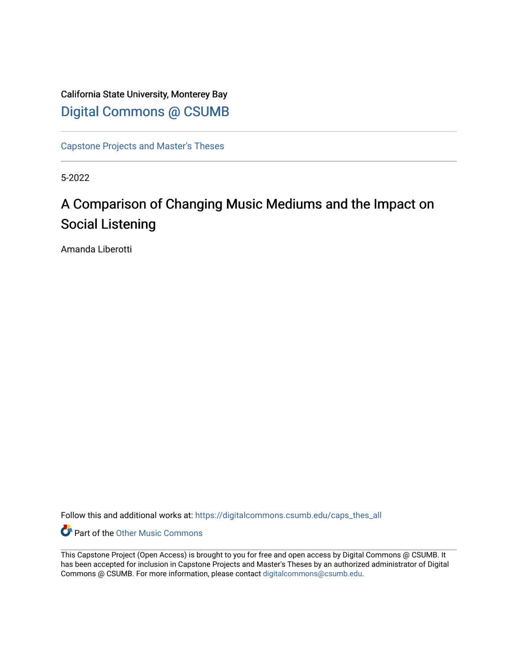California State University, Monterey Bay [Digital Commons @ CSUMB](https://digitalcommons.csumb.edu/)

[Capstone Projects and Master's Theses](https://digitalcommons.csumb.edu/caps_thes_all)

5-2022

# A Comparison of Changing Music Mediums and the Impact on Social Listening

Amanda Liberotti

Follow this and additional works at: [https://digitalcommons.csumb.edu/caps\\_thes\\_all](https://digitalcommons.csumb.edu/caps_thes_all?utm_source=digitalcommons.csumb.edu%2Fcaps_thes_all%2F1257&utm_medium=PDF&utm_campaign=PDFCoverPages)

**Part of the Other Music Commons** 

This Capstone Project (Open Access) is brought to you for free and open access by Digital Commons @ CSUMB. It has been accepted for inclusion in Capstone Projects and Master's Theses by an authorized administrator of Digital Commons @ CSUMB. For more information, please contact [digitalcommons@csumb.edu](mailto:digitalcommons@csumb.edu).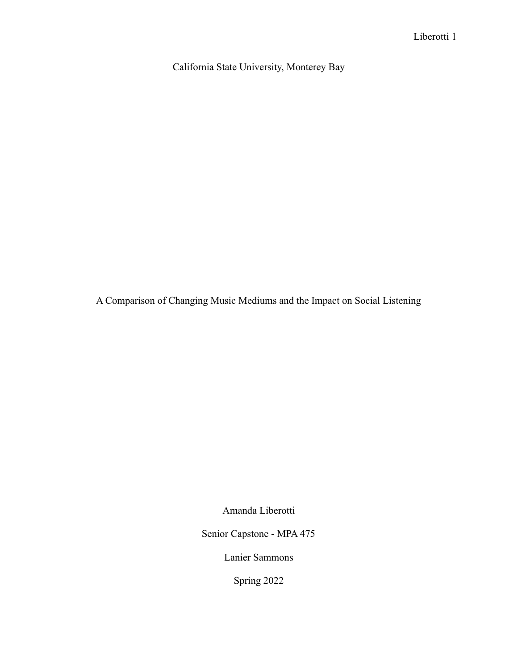California State University, Monterey Bay

A Comparison of Changing Music Mediums and the Impact on Social Listening

Amanda Liberotti

Senior Capstone - MPA 475

Lanier Sammons

Spring 2022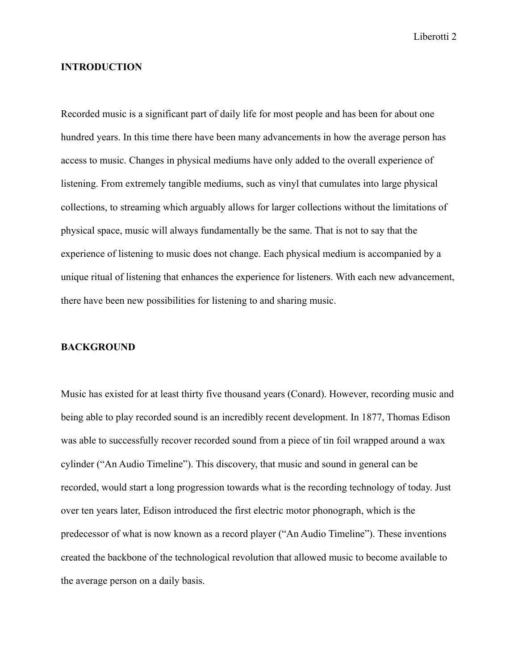## **INTRODUCTION**

Recorded music is a significant part of daily life for most people and has been for about one hundred years. In this time there have been many advancements in how the average person has access to music. Changes in physical mediums have only added to the overall experience of listening. From extremely tangible mediums, such as vinyl that cumulates into large physical collections, to streaming which arguably allows for larger collections without the limitations of physical space, music will always fundamentally be the same. That is not to say that the experience of listening to music does not change. Each physical medium is accompanied by a unique ritual of listening that enhances the experience for listeners. With each new advancement, there have been new possibilities for listening to and sharing music.

#### **BACKGROUND**

Music has existed for at least thirty five thousand years (Conard). However, recording music and being able to play recorded sound is an incredibly recent development. In 1877, Thomas Edison was able to successfully recover recorded sound from a piece of tin foil wrapped around a wax cylinder ("An Audio Timeline"). This discovery, that music and sound in general can be recorded, would start a long progression towards what is the recording technology of today. Just over ten years later, Edison introduced the first electric motor phonograph, which is the predecessor of what is now known as a record player ("An Audio Timeline"). These inventions created the backbone of the technological revolution that allowed music to become available to the average person on a daily basis.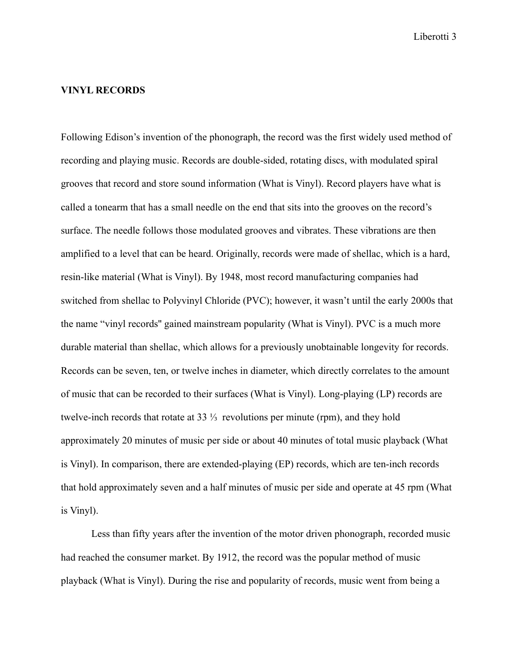# **VINYL RECORDS**

Following Edison's invention of the phonograph, the record was the first widely used method of recording and playing music. Records are double-sided, rotating discs, with modulated spiral grooves that record and store sound information (What is Vinyl). Record players have what is called a tonearm that has a small needle on the end that sits into the grooves on the record's surface. The needle follows those modulated grooves and vibrates. These vibrations are then amplified to a level that can be heard. Originally, records were made of shellac, which is a hard, resin-like material (What is Vinyl). By 1948, most record manufacturing companies had switched from shellac to Polyvinyl Chloride (PVC); however, it wasn't until the early 2000s that the name "vinyl records'' gained mainstream popularity (What is Vinyl). PVC is a much more durable material than shellac, which allows for a previously unobtainable longevity for records. Records can be seven, ten, or twelve inches in diameter, which directly correlates to the amount of music that can be recorded to their surfaces (What is Vinyl). Long-playing (LP) records are twelve-inch records that rotate at 33 ⅓ revolutions per minute (rpm), and they hold approximately 20 minutes of music per side or about 40 minutes of total music playback (What is Vinyl). In comparison, there are extended-playing (EP) records, which are ten-inch records that hold approximately seven and a half minutes of music per side and operate at 45 rpm (What is Vinyl).

Less than fifty years after the invention of the motor driven phonograph, recorded music had reached the consumer market. By 1912, the record was the popular method of music playback (What is Vinyl). During the rise and popularity of records, music went from being a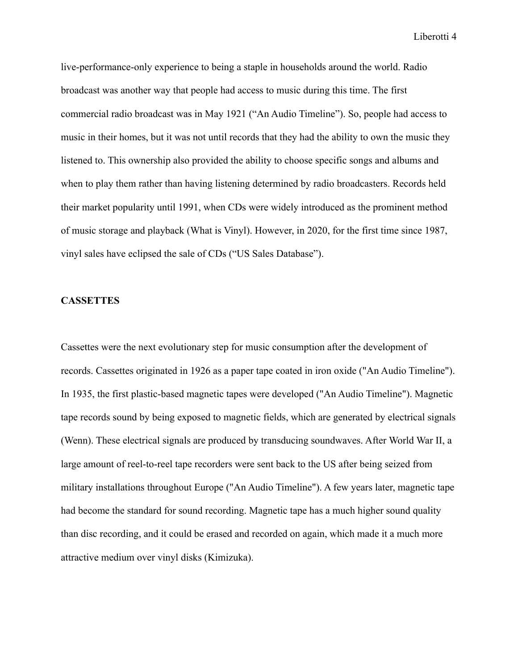live-performance-only experience to being a staple in households around the world. Radio broadcast was another way that people had access to music during this time. The first commercial radio broadcast was in May 1921 ("An Audio Timeline"). So, people had access to music in their homes, but it was not until records that they had the ability to own the music they listened to. This ownership also provided the ability to choose specific songs and albums and when to play them rather than having listening determined by radio broadcasters. Records held their market popularity until 1991, when CDs were widely introduced as the prominent method of music storage and playback (What is Vinyl). However, in 2020, for the first time since 1987, vinyl sales have eclipsed the sale of CDs ("US Sales Database").

# **CASSETTES**

Cassettes were the next evolutionary step for music consumption after the development of records. Cassettes originated in 1926 as a paper tape coated in iron oxide ("An Audio Timeline"). In 1935, the first plastic-based magnetic tapes were developed ("An Audio Timeline"). Magnetic tape records sound by being exposed to magnetic fields, which are generated by electrical signals (Wenn). These electrical signals are produced by transducing soundwaves. After World War II, a large amount of reel-to-reel tape recorders were sent back to the US after being seized from military installations throughout Europe ("An Audio Timeline"). A few years later, magnetic tape had become the standard for sound recording. Magnetic tape has a much higher sound quality than disc recording, and it could be erased and recorded on again, which made it a much more attractive medium over vinyl disks (Kimizuka).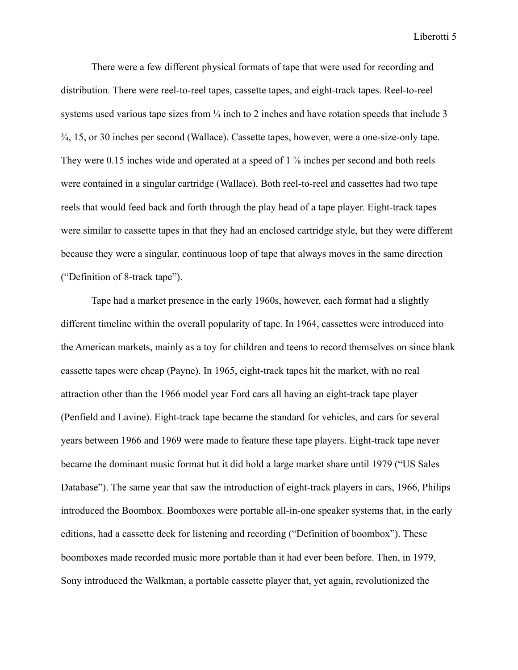There were a few different physical formats of tape that were used for recording and distribution. There were reel-to-reel tapes, cassette tapes, and eight-track tapes. Reel-to-reel systems used various tape sizes from  $\frac{1}{4}$  inch to 2 inches and have rotation speeds that include 3 ¾, 15, or 30 inches per second (Wallace). Cassette tapes, however, were a one-size-only tape. They were 0.15 inches wide and operated at a speed of 1  $\frac{7}{8}$  inches per second and both reels were contained in a singular cartridge (Wallace). Both reel-to-reel and cassettes had two tape reels that would feed back and forth through the play head of a tape player. Eight-track tapes were similar to cassette tapes in that they had an enclosed cartridge style, but they were different because they were a singular, continuous loop of tape that always moves in the same direction ("Definition of 8-track tape").

Tape had a market presence in the early 1960s, however, each format had a slightly different timeline within the overall popularity of tape. In 1964, cassettes were introduced into the American markets, mainly as a toy for children and teens to record themselves on since blank cassette tapes were cheap (Payne). In 1965, eight-track tapes hit the market, with no real attraction other than the 1966 model year Ford cars all having an eight-track tape player (Penfield and Lavine). Eight-track tape became the standard for vehicles, and cars for several years between 1966 and 1969 were made to feature these tape players. Eight-track tape never became the dominant music format but it did hold a large market share until 1979 ("US Sales Database"). The same year that saw the introduction of eight-track players in cars, 1966, Philips introduced the Boombox. Boomboxes were portable all-in-one speaker systems that, in the early editions, had a cassette deck for listening and recording ("Definition of boombox"). These boomboxes made recorded music more portable than it had ever been before. Then, in 1979, Sony introduced the Walkman, a portable cassette player that, yet again, revolutionized the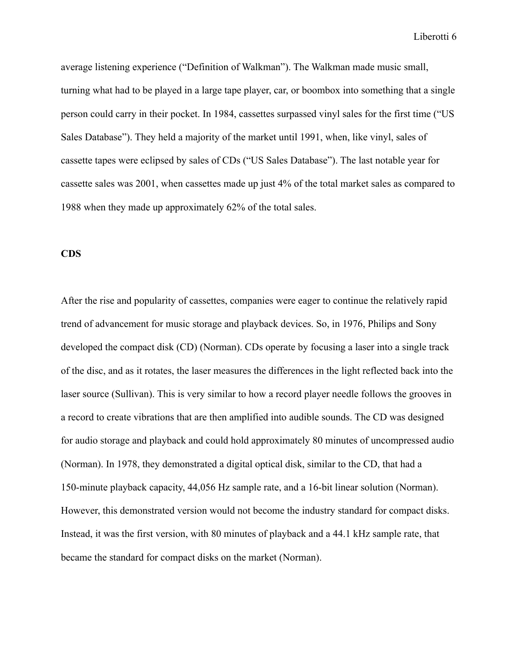average listening experience ("Definition of Walkman"). The Walkman made music small, turning what had to be played in a large tape player, car, or boombox into something that a single person could carry in their pocket. In 1984, cassettes surpassed vinyl sales for the first time ("US Sales Database"). They held a majority of the market until 1991, when, like vinyl, sales of cassette tapes were eclipsed by sales of CDs ("US Sales Database"). The last notable year for cassette sales was 2001, when cassettes made up just 4% of the total market sales as compared to 1988 when they made up approximately 62% of the total sales.

# **CDS**

After the rise and popularity of cassettes, companies were eager to continue the relatively rapid trend of advancement for music storage and playback devices. So, in 1976, Philips and Sony developed the compact disk (CD) (Norman). CDs operate by focusing a laser into a single track of the disc, and as it rotates, the laser measures the differences in the light reflected back into the laser source (Sullivan). This is very similar to how a record player needle follows the grooves in a record to create vibrations that are then amplified into audible sounds. The CD was designed for audio storage and playback and could hold approximately 80 minutes of uncompressed audio (Norman). In 1978, they demonstrated a digital optical disk, similar to the CD, that had a 150-minute playback capacity, 44,056 Hz sample rate, and a 16-bit linear solution (Norman). However, this demonstrated version would not become the industry standard for compact disks. Instead, it was the first version, with 80 minutes of playback and a 44.1 kHz sample rate, that became the standard for compact disks on the market (Norman).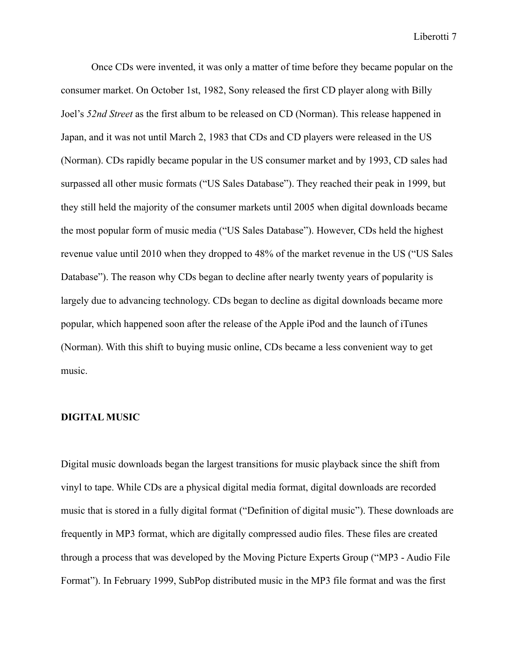Once CDs were invented, it was only a matter of time before they became popular on the consumer market. On October 1st, 1982, Sony released the first CD player along with Billy Joel's *52nd Street* as the first album to be released on CD (Norman). This release happened in Japan, and it was not until March 2, 1983 that CDs and CD players were released in the US (Norman). CDs rapidly became popular in the US consumer market and by 1993, CD sales had surpassed all other music formats ("US Sales Database"). They reached their peak in 1999, but they still held the majority of the consumer markets until 2005 when digital downloads became the most popular form of music media ("US Sales Database"). However, CDs held the highest revenue value until 2010 when they dropped to 48% of the market revenue in the US ("US Sales Database"). The reason why CDs began to decline after nearly twenty years of popularity is largely due to advancing technology. CDs began to decline as digital downloads became more popular, which happened soon after the release of the Apple iPod and the launch of iTunes (Norman). With this shift to buying music online, CDs became a less convenient way to get music.

#### **DIGITAL MUSIC**

Digital music downloads began the largest transitions for music playback since the shift from vinyl to tape. While CDs are a physical digital media format, digital downloads are recorded music that is stored in a fully digital format ("Definition of digital music"). These downloads are frequently in MP3 format, which are digitally compressed audio files. These files are created through a process that was developed by the Moving Picture Experts Group ("MP3 - Audio File Format"). In February 1999, SubPop distributed music in the MP3 file format and was the first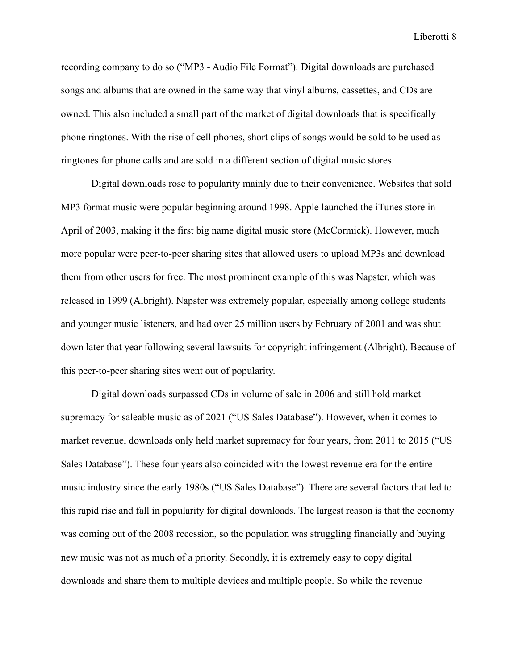recording company to do so ("MP3 - Audio File Format"). Digital downloads are purchased songs and albums that are owned in the same way that vinyl albums, cassettes, and CDs are owned. This also included a small part of the market of digital downloads that is specifically phone ringtones. With the rise of cell phones, short clips of songs would be sold to be used as ringtones for phone calls and are sold in a different section of digital music stores.

Digital downloads rose to popularity mainly due to their convenience. Websites that sold MP3 format music were popular beginning around 1998. Apple launched the iTunes store in April of 2003, making it the first big name digital music store (McCormick). However, much more popular were peer-to-peer sharing sites that allowed users to upload MP3s and download them from other users for free. The most prominent example of this was Napster, which was released in 1999 (Albright). Napster was extremely popular, especially among college students and younger music listeners, and had over 25 million users by February of 2001 and was shut down later that year following several lawsuits for copyright infringement (Albright). Because of this peer-to-peer sharing sites went out of popularity.

Digital downloads surpassed CDs in volume of sale in 2006 and still hold market supremacy for saleable music as of 2021 ("US Sales Database"). However, when it comes to market revenue, downloads only held market supremacy for four years, from 2011 to 2015 ("US Sales Database"). These four years also coincided with the lowest revenue era for the entire music industry since the early 1980s ("US Sales Database"). There are several factors that led to this rapid rise and fall in popularity for digital downloads. The largest reason is that the economy was coming out of the 2008 recession, so the population was struggling financially and buying new music was not as much of a priority. Secondly, it is extremely easy to copy digital downloads and share them to multiple devices and multiple people. So while the revenue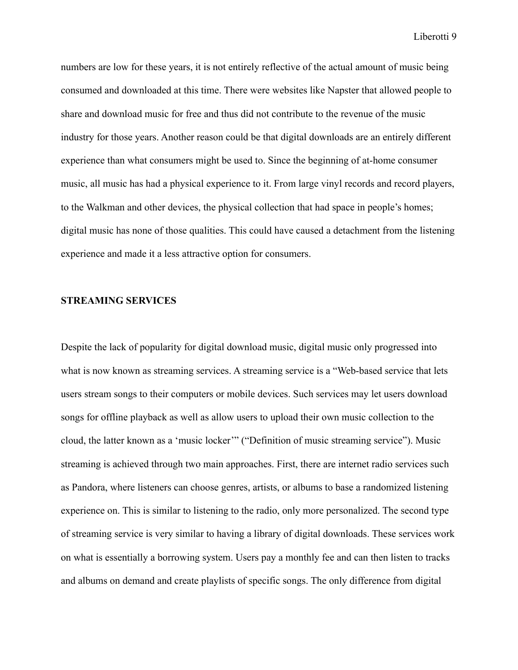numbers are low for these years, it is not entirely reflective of the actual amount of music being consumed and downloaded at this time. There were websites like Napster that allowed people to share and download music for free and thus did not contribute to the revenue of the music industry for those years. Another reason could be that digital downloads are an entirely different experience than what consumers might be used to. Since the beginning of at-home consumer music, all music has had a physical experience to it. From large vinyl records and record players, to the Walkman and other devices, the physical collection that had space in people's homes; digital music has none of those qualities. This could have caused a detachment from the listening experience and made it a less attractive option for consumers.

# **STREAMING SERVICES**

Despite the lack of popularity for digital download music, digital music only progressed into what is now known as streaming services. A streaming service is a "Web-based service that lets users stream songs to their computers or mobile devices. Such services may let users download songs for offline playback as well as allow users to upload their own music collection to the cloud, the latter known as a 'music locker'" ("Definition of music streaming service"). Music streaming is achieved through two main approaches. First, there are internet radio services such as Pandora, where listeners can choose genres, artists, or albums to base a randomized listening experience on. This is similar to listening to the radio, only more personalized. The second type of streaming service is very similar to having a library of digital downloads. These services work on what is essentially a borrowing system. Users pay a monthly fee and can then listen to tracks and albums on demand and create playlists of specific songs. The only difference from digital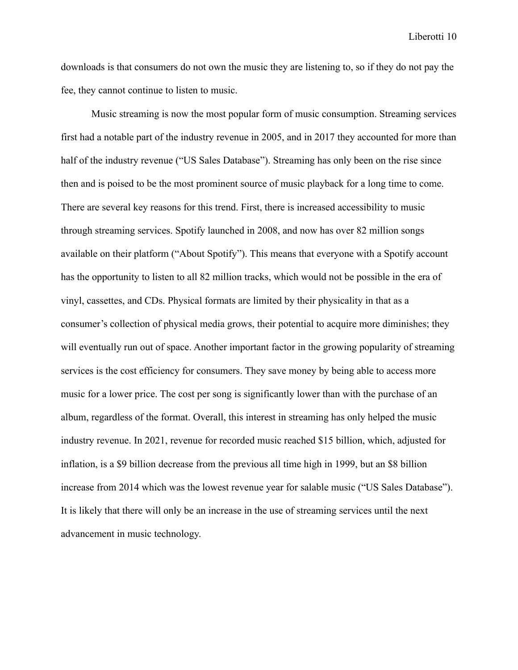downloads is that consumers do not own the music they are listening to, so if they do not pay the fee, they cannot continue to listen to music.

Music streaming is now the most popular form of music consumption. Streaming services first had a notable part of the industry revenue in 2005, and in 2017 they accounted for more than half of the industry revenue ("US Sales Database"). Streaming has only been on the rise since then and is poised to be the most prominent source of music playback for a long time to come. There are several key reasons for this trend. First, there is increased accessibility to music through streaming services. Spotify launched in 2008, and now has over 82 million songs available on their platform ("About Spotify"). This means that everyone with a Spotify account has the opportunity to listen to all 82 million tracks, which would not be possible in the era of vinyl, cassettes, and CDs. Physical formats are limited by their physicality in that as a consumer's collection of physical media grows, their potential to acquire more diminishes; they will eventually run out of space. Another important factor in the growing popularity of streaming services is the cost efficiency for consumers. They save money by being able to access more music for a lower price. The cost per song is significantly lower than with the purchase of an album, regardless of the format. Overall, this interest in streaming has only helped the music industry revenue. In 2021, revenue for recorded music reached \$15 billion, which, adjusted for inflation, is a \$9 billion decrease from the previous all time high in 1999, but an \$8 billion increase from 2014 which was the lowest revenue year for salable music ("US Sales Database"). It is likely that there will only be an increase in the use of streaming services until the next advancement in music technology.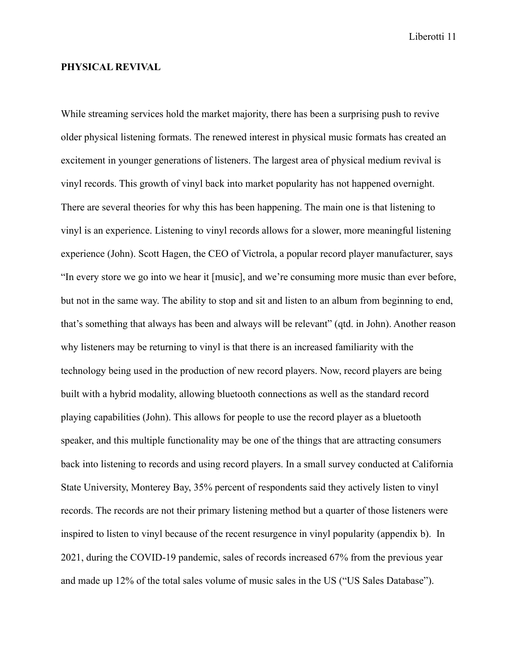## **PHYSICAL REVIVAL**

While streaming services hold the market majority, there has been a surprising push to revive older physical listening formats. The renewed interest in physical music formats has created an excitement in younger generations of listeners. The largest area of physical medium revival is vinyl records. This growth of vinyl back into market popularity has not happened overnight. There are several theories for why this has been happening. The main one is that listening to vinyl is an experience. Listening to vinyl records allows for a slower, more meaningful listening experience (John). Scott Hagen, the CEO of Victrola, a popular record player manufacturer, says "In every store we go into we hear it [music], and we're consuming more music than ever before, but not in the same way. The ability to stop and sit and listen to an album from beginning to end, that's something that always has been and always will be relevant" (qtd. in John). Another reason why listeners may be returning to vinyl is that there is an increased familiarity with the technology being used in the production of new record players. Now, record players are being built with a hybrid modality, allowing bluetooth connections as well as the standard record playing capabilities (John). This allows for people to use the record player as a bluetooth speaker, and this multiple functionality may be one of the things that are attracting consumers back into listening to records and using record players. In a small survey conducted at California State University, Monterey Bay, 35% percent of respondents said they actively listen to vinyl records. The records are not their primary listening method but a quarter of those listeners were inspired to listen to vinyl because of the recent resurgence in vinyl popularity (appendix b). In 2021, during the COVID-19 pandemic, sales of records increased 67% from the previous year and made up 12% of the total sales volume of music sales in the US ("US Sales Database").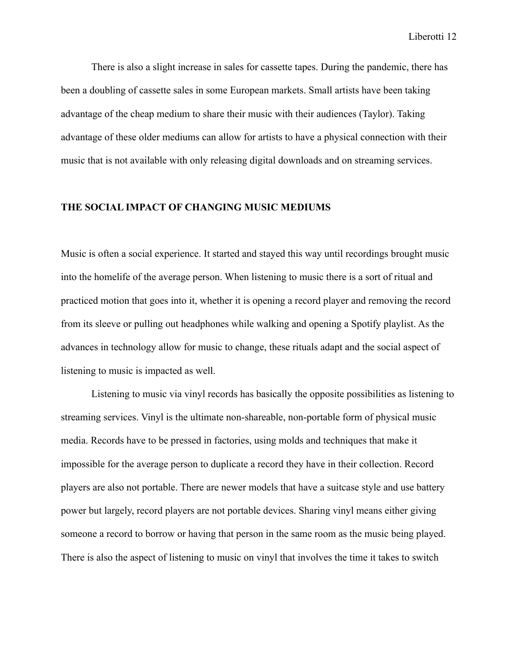There is also a slight increase in sales for cassette tapes. During the pandemic, there has been a doubling of cassette sales in some European markets. Small artists have been taking advantage of the cheap medium to share their music with their audiences (Taylor). Taking advantage of these older mediums can allow for artists to have a physical connection with their music that is not available with only releasing digital downloads and on streaming services.

## **THE SOCIAL IMPACT OF CHANGING MUSIC MEDIUMS**

Music is often a social experience. It started and stayed this way until recordings brought music into the homelife of the average person. When listening to music there is a sort of ritual and practiced motion that goes into it, whether it is opening a record player and removing the record from its sleeve or pulling out headphones while walking and opening a Spotify playlist. As the advances in technology allow for music to change, these rituals adapt and the social aspect of listening to music is impacted as well.

Listening to music via vinyl records has basically the opposite possibilities as listening to streaming services. Vinyl is the ultimate non-shareable, non-portable form of physical music media. Records have to be pressed in factories, using molds and techniques that make it impossible for the average person to duplicate a record they have in their collection. Record players are also not portable. There are newer models that have a suitcase style and use battery power but largely, record players are not portable devices. Sharing vinyl means either giving someone a record to borrow or having that person in the same room as the music being played. There is also the aspect of listening to music on vinyl that involves the time it takes to switch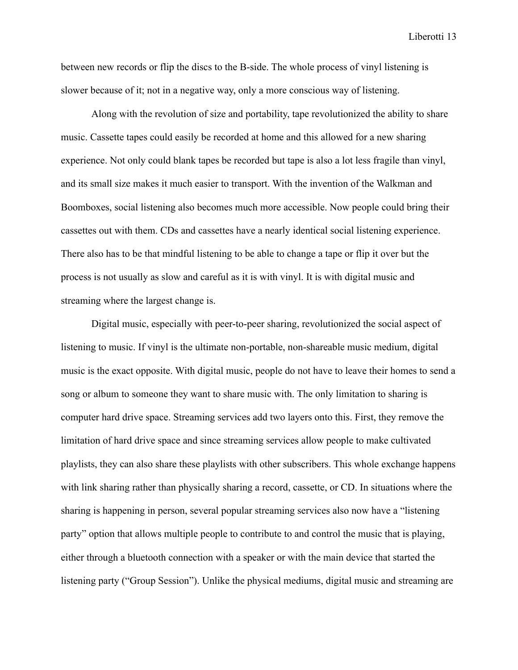between new records or flip the discs to the B-side. The whole process of vinyl listening is slower because of it; not in a negative way, only a more conscious way of listening.

Along with the revolution of size and portability, tape revolutionized the ability to share music. Cassette tapes could easily be recorded at home and this allowed for a new sharing experience. Not only could blank tapes be recorded but tape is also a lot less fragile than vinyl, and its small size makes it much easier to transport. With the invention of the Walkman and Boomboxes, social listening also becomes much more accessible. Now people could bring their cassettes out with them. CDs and cassettes have a nearly identical social listening experience. There also has to be that mindful listening to be able to change a tape or flip it over but the process is not usually as slow and careful as it is with vinyl. It is with digital music and streaming where the largest change is.

Digital music, especially with peer-to-peer sharing, revolutionized the social aspect of listening to music. If vinyl is the ultimate non-portable, non-shareable music medium, digital music is the exact opposite. With digital music, people do not have to leave their homes to send a song or album to someone they want to share music with. The only limitation to sharing is computer hard drive space. Streaming services add two layers onto this. First, they remove the limitation of hard drive space and since streaming services allow people to make cultivated playlists, they can also share these playlists with other subscribers. This whole exchange happens with link sharing rather than physically sharing a record, cassette, or CD. In situations where the sharing is happening in person, several popular streaming services also now have a "listening party" option that allows multiple people to contribute to and control the music that is playing, either through a bluetooth connection with a speaker or with the main device that started the listening party ("Group Session"). Unlike the physical mediums, digital music and streaming are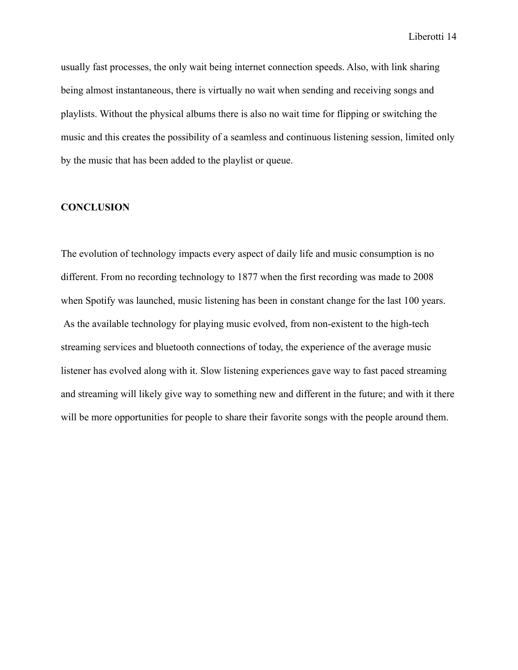usually fast processes, the only wait being internet connection speeds. Also, with link sharing being almost instantaneous, there is virtually no wait when sending and receiving songs and playlists. Without the physical albums there is also no wait time for flipping or switching the music and this creates the possibility of a seamless and continuous listening session, limited only by the music that has been added to the playlist or queue.

# **CONCLUSION**

The evolution of technology impacts every aspect of daily life and music consumption is no different. From no recording technology to 1877 when the first recording was made to 2008 when Spotify was launched, music listening has been in constant change for the last 100 years. As the available technology for playing music evolved, from non-existent to the high-tech streaming services and bluetooth connections of today, the experience of the average music listener has evolved along with it. Slow listening experiences gave way to fast paced streaming and streaming will likely give way to something new and different in the future; and with it there will be more opportunities for people to share their favorite songs with the people around them.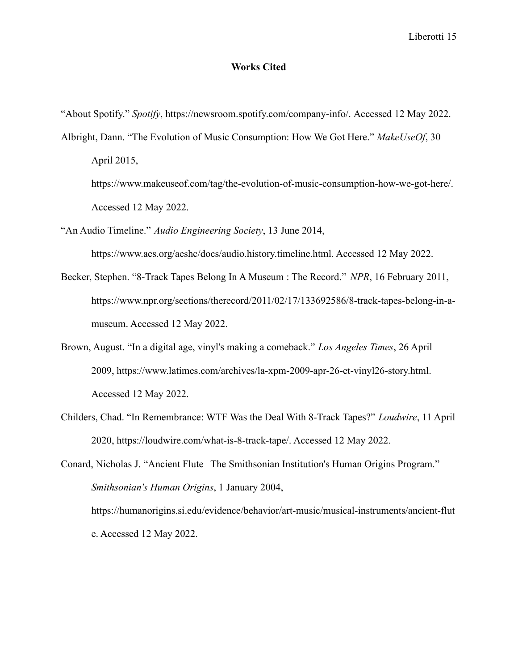### **Works Cited**

"About Spotify." *Spotify*, https://newsroom.spotify.com/company-info/. Accessed 12 May 2022.

Albright, Dann. "The Evolution of Music Consumption: How We Got Here." *MakeUseOf*, 30 April 2015,

https://www.makeuseof.com/tag/the-evolution-of-music-consumption-how-we-got-here/. Accessed 12 May 2022.

- "An Audio Timeline." *Audio Engineering Society*, 13 June 2014,
- Becker, Stephen. "8-Track Tapes Belong In A Museum : The Record." *NPR*, 16 February 2011, https://www.npr.org/sections/therecord/2011/02/17/133692586/8-track-tapes-belong-in-amuseum. Accessed 12 May 2022.

https://www.aes.org/aeshc/docs/audio.history.timeline.html. Accessed 12 May 2022.

- Brown, August. "In a digital age, vinyl's making a comeback." *Los Angeles Times*, 26 April 2009, https://www.latimes.com/archives/la-xpm-2009-apr-26-et-vinyl26-story.html. Accessed 12 May 2022.
- Childers, Chad. "In Remembrance: WTF Was the Deal With 8-Track Tapes?" *Loudwire*, 11 April 2020, https://loudwire.com/what-is-8-track-tape/. Accessed 12 May 2022.

Conard, Nicholas J. "Ancient Flute | The Smithsonian Institution's Human Origins Program." *Smithsonian's Human Origins*, 1 January 2004, https://humanorigins.si.edu/evidence/behavior/art-music/musical-instruments/ancient-flut e. Accessed 12 May 2022.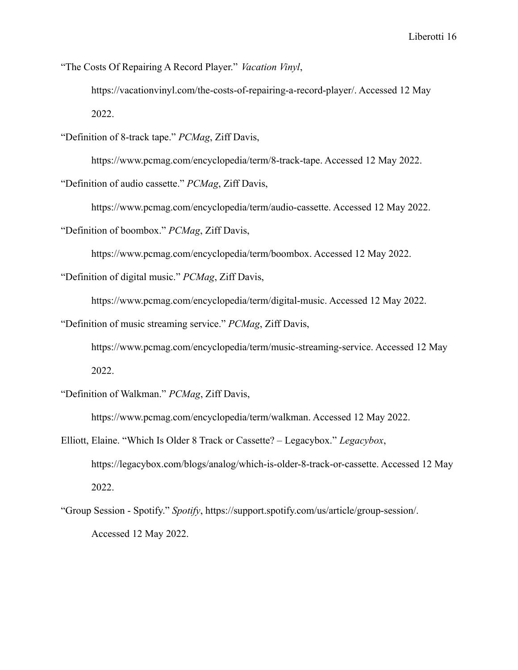"The Costs Of Repairing A Record Player." *Vacation Vinyl*,

https://vacationvinyl.com/the-costs-of-repairing-a-record-player/. Accessed 12 May 2022.

"Definition of 8-track tape." *PCMag*, Ziff Davis,

https://www.pcmag.com/encyclopedia/term/8-track-tape. Accessed 12 May 2022.

"Definition of audio cassette." *PCMag*, Ziff Davis,

https://www.pcmag.com/encyclopedia/term/audio-cassette. Accessed 12 May 2022.

"Definition of boombox." *PCMag*, Ziff Davis,

https://www.pcmag.com/encyclopedia/term/boombox. Accessed 12 May 2022.

"Definition of digital music." *PCMag*, Ziff Davis,

https://www.pcmag.com/encyclopedia/term/digital-music. Accessed 12 May 2022.

"Definition of music streaming service." *PCMag*, Ziff Davis,

https://www.pcmag.com/encyclopedia/term/music-streaming-service. Accessed 12 May 2022.

"Definition of Walkman." *PCMag*, Ziff Davis,

https://www.pcmag.com/encyclopedia/term/walkman. Accessed 12 May 2022.

Elliott, Elaine. "Which Is Older 8 Track or Cassette? – Legacybox." *Legacybox*, https://legacybox.com/blogs/analog/which-is-older-8-track-or-cassette. Accessed 12 May 2022.

"Group Session - Spotify." *Spotify*, https://support.spotify.com/us/article/group-session/. Accessed 12 May 2022.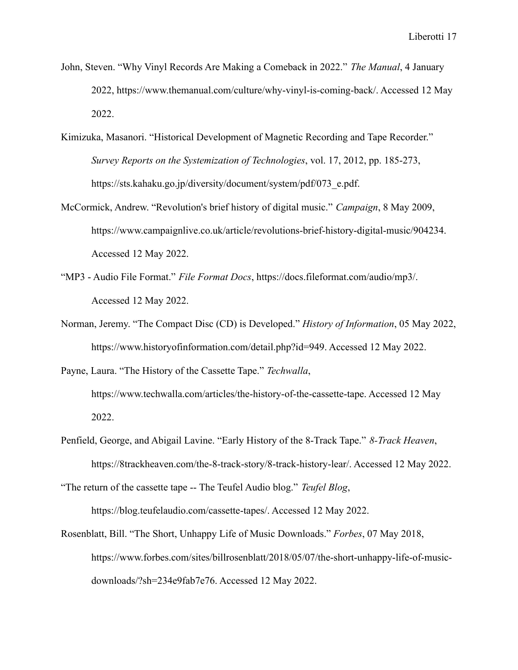- John, Steven. "Why Vinyl Records Are Making a Comeback in 2022." *The Manual*, 4 January 2022, https://www.themanual.com/culture/why-vinyl-is-coming-back/. Accessed 12 May 2022.
- Kimizuka, Masanori. "Historical Development of Magnetic Recording and Tape Recorder." *Survey Reports on the Systemization of Technologies*, vol. 17, 2012, pp. 185-273, https://sts.kahaku.go.jp/diversity/document/system/pdf/073\_e.pdf.
- McCormick, Andrew. "Revolution's brief history of digital music." *Campaign*, 8 May 2009, https://www.campaignlive.co.uk/article/revolutions-brief-history-digital-music/904234. Accessed 12 May 2022.
- "MP3 Audio File Format." *File Format Docs*, https://docs.fileformat.com/audio/mp3/. Accessed 12 May 2022.
- Norman, Jeremy. "The Compact Disc (CD) is Developed." *History of Information*, 05 May 2022, https://www.historyofinformation.com/detail.php?id=949. Accessed 12 May 2022.
- Payne, Laura. "The History of the Cassette Tape." *Techwalla*, https://www.techwalla.com/articles/the-history-of-the-cassette-tape. Accessed 12 May 2022.
- Penfield, George, and Abigail Lavine. "Early History of the 8-Track Tape." *8-Track Heaven*, https://8trackheaven.com/the-8-track-story/8-track-history-lear/. Accessed 12 May 2022.

"The return of the cassette tape -- The Teufel Audio blog." *Teufel Blog*, https://blog.teufelaudio.com/cassette-tapes/. Accessed 12 May 2022.

Rosenblatt, Bill. "The Short, Unhappy Life of Music Downloads." *Forbes*, 07 May 2018, https://www.forbes.com/sites/billrosenblatt/2018/05/07/the-short-unhappy-life-of-musicdownloads/?sh=234e9fab7e76. Accessed 12 May 2022.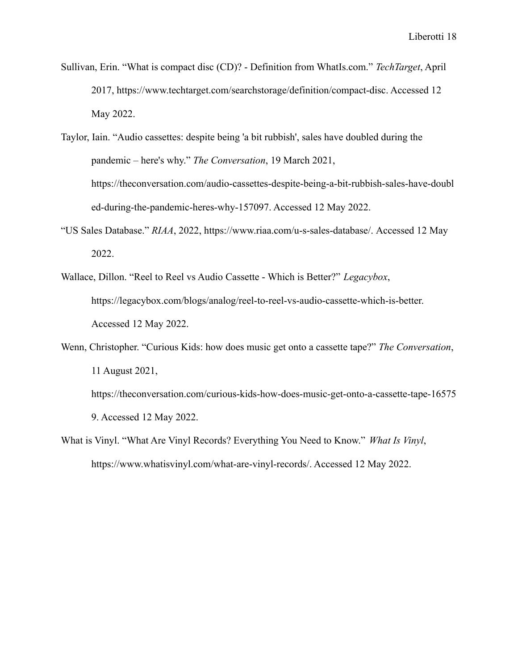- Sullivan, Erin. "What is compact disc (CD)? Definition from WhatIs.com." *TechTarget*, April 2017, https://www.techtarget.com/searchstorage/definition/compact-disc. Accessed 12 May 2022.
- Taylor, Iain. "Audio cassettes: despite being 'a bit rubbish', sales have doubled during the pandemic – here's why." *The Conversation*, 19 March 2021, https://theconversation.com/audio-cassettes-despite-being-a-bit-rubbish-sales-have-doubl ed-during-the-pandemic-heres-why-157097. Accessed 12 May 2022.
- "US Sales Database." *RIAA*, 2022, https://www.riaa.com/u-s-sales-database/. Accessed 12 May 2022.
- Wallace, Dillon. "Reel to Reel vs Audio Cassette Which is Better?" *Legacybox*, https://legacybox.com/blogs/analog/reel-to-reel-vs-audio-cassette-which-is-better. Accessed 12 May 2022.
- Wenn, Christopher. "Curious Kids: how does music get onto a cassette tape?" *The Conversation*, 11 August 2021, https://theconversation.com/curious-kids-how-does-music-get-onto-a-cassette-tape-16575 9. Accessed 12 May 2022.
- What is Vinyl. "What Are Vinyl Records? Everything You Need to Know." *What Is Vinyl*, https://www.whatisvinyl.com/what-are-vinyl-records/. Accessed 12 May 2022.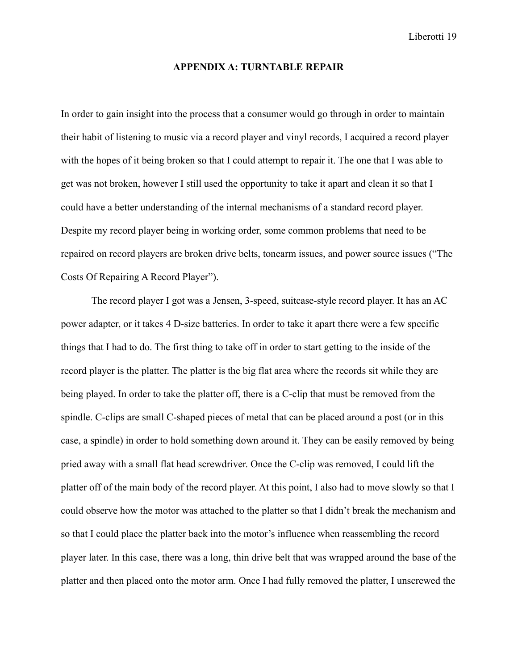#### **APPENDIX A: TURNTABLE REPAIR**

In order to gain insight into the process that a consumer would go through in order to maintain their habit of listening to music via a record player and vinyl records, I acquired a record player with the hopes of it being broken so that I could attempt to repair it. The one that I was able to get was not broken, however I still used the opportunity to take it apart and clean it so that I could have a better understanding of the internal mechanisms of a standard record player. Despite my record player being in working order, some common problems that need to be repaired on record players are broken drive belts, tonearm issues, and power source issues ("The Costs Of Repairing A Record Player").

The record player I got was a Jensen, 3-speed, suitcase-style record player. It has an AC power adapter, or it takes 4 D-size batteries. In order to take it apart there were a few specific things that I had to do. The first thing to take off in order to start getting to the inside of the record player is the platter. The platter is the big flat area where the records sit while they are being played. In order to take the platter off, there is a C-clip that must be removed from the spindle. C-clips are small C-shaped pieces of metal that can be placed around a post (or in this case, a spindle) in order to hold something down around it. They can be easily removed by being pried away with a small flat head screwdriver. Once the C-clip was removed, I could lift the platter off of the main body of the record player. At this point, I also had to move slowly so that I could observe how the motor was attached to the platter so that I didn't break the mechanism and so that I could place the platter back into the motor's influence when reassembling the record player later. In this case, there was a long, thin drive belt that was wrapped around the base of the platter and then placed onto the motor arm. Once I had fully removed the platter, I unscrewed the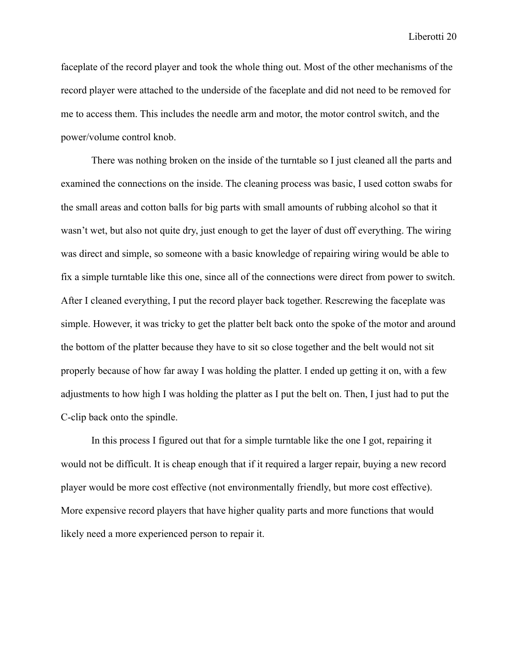faceplate of the record player and took the whole thing out. Most of the other mechanisms of the record player were attached to the underside of the faceplate and did not need to be removed for me to access them. This includes the needle arm and motor, the motor control switch, and the power/volume control knob.

There was nothing broken on the inside of the turntable so I just cleaned all the parts and examined the connections on the inside. The cleaning process was basic, I used cotton swabs for the small areas and cotton balls for big parts with small amounts of rubbing alcohol so that it wasn't wet, but also not quite dry, just enough to get the layer of dust off everything. The wiring was direct and simple, so someone with a basic knowledge of repairing wiring would be able to fix a simple turntable like this one, since all of the connections were direct from power to switch. After I cleaned everything, I put the record player back together. Rescrewing the faceplate was simple. However, it was tricky to get the platter belt back onto the spoke of the motor and around the bottom of the platter because they have to sit so close together and the belt would not sit properly because of how far away I was holding the platter. I ended up getting it on, with a few adjustments to how high I was holding the platter as I put the belt on. Then, I just had to put the C-clip back onto the spindle.

In this process I figured out that for a simple turntable like the one I got, repairing it would not be difficult. It is cheap enough that if it required a larger repair, buying a new record player would be more cost effective (not environmentally friendly, but more cost effective). More expensive record players that have higher quality parts and more functions that would likely need a more experienced person to repair it.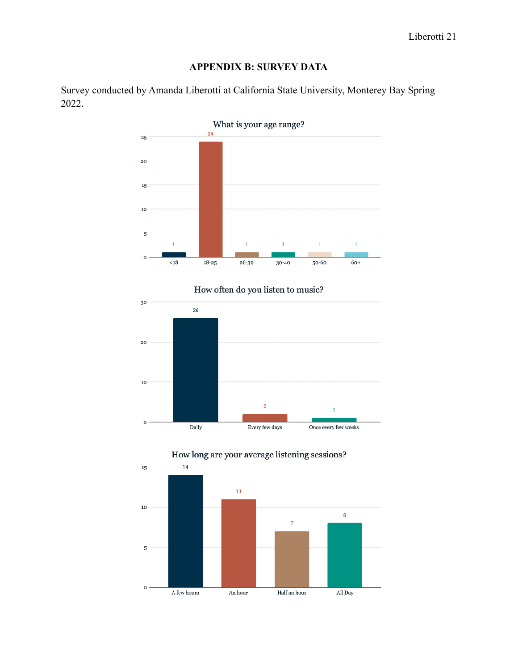# **APPENDIX B: SURVEY DATA**

Survey conducted by Amanda Liberotti at California State University, Monterey Bay Spring 2022.



How often do you listen to music?





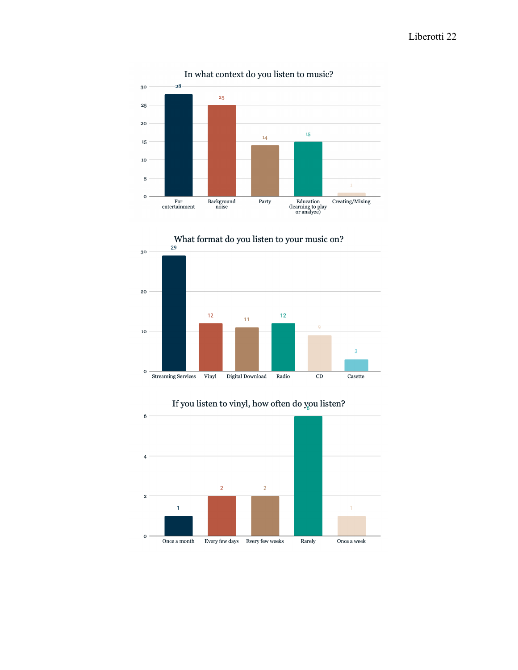

In what context do you listen to music?





If you listen to vinyl, how often do you listen?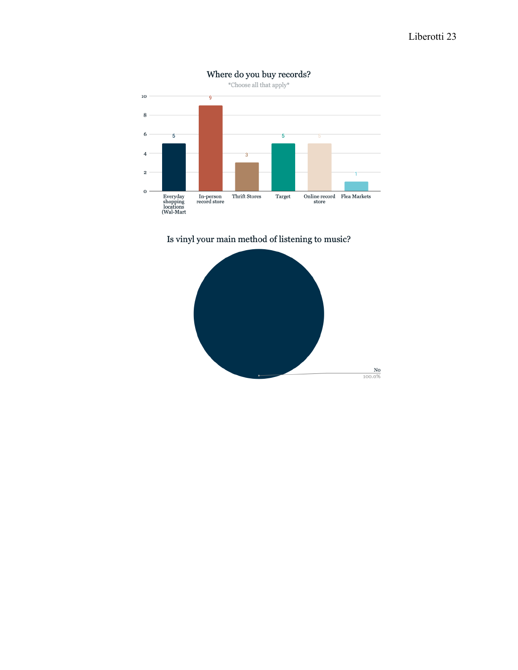

Is vinyl your main method of listening to music?